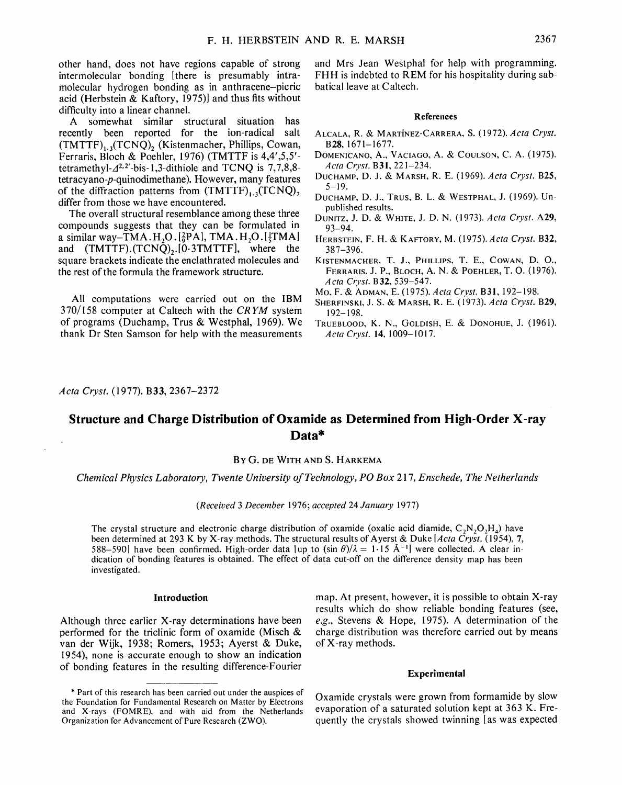other hand, does not have regions capable of strong intermolecular bonding [there is presumably intramolecular hydrogen bonding as in anthracene-picric acid (Herbstein  $\&$  Kaftory, 1975)] and thus fits without difficulty into a linear channel.

A somewhat similar structural situation has recently been reported for the ion-radical salt  $(TMTTF)_{1.3}(TCNQ)$ , (Kistenmacher, Phillips, Cowan, Ferraris, Bloch & Poehler, 1976) (TMTTF is 4,4',5,5' tetramethyl- $A^{2,2}$ -bis-1,3-dithiole and TCNO is 7,7,8,8tetracyano-p-quinodimethane). However, many features of the diffraction patterns from  $(TMTTF)_{1/2}(TCNQ)$ , differ from those we have encountered.

The overall structural resemblance among these three compounds suggests that they can be formulated in a similar way-TMA. H<sub>2</sub>O. [ $\frac{2}{9}PA$ ], TMA. H<sub>2</sub>O. [ $\frac{1}{5}TMA$ ] and  $(TMTTF) \cdot (TCNQ) \cdot (0.3TMTTF)$ , where the square brackets indicate the enclathrated molecules and the rest of the formula the framework structure.

All computations were carried out on the IBM 370/158 computer at Caltech with the *CRYM* system of programs (Duchamp, Trus & Westphal, 1969). We thank Dr Sten Samson for help with the measurements and Mrs Jean Westphal for help with programming. FHH is indebted to REM for his hospitality during sabbatical leave at Caltech.

# **References**

- ALCALA, R. & MARTiNEZ-CARRERA, S. (1972). *Acta Cryst.*  B28, 1671-1677.
- DOMENICANO, A., VACIAGO, A. & COULSON, C. A. (1975). *Acta Cryst.* B31,221-234.
- DUCHAMP, D. J. & MARSH, R. E. (1969). *Aeta Cryst.* B25,  $5 - 19$ .
- DUCHAMP, D. J., TRUS, B. L. & WESTPHAL, J. (1969). Unpublished results.
- DUNITZ, J. D. & WnrrE, J. D. N. (1973). *Acta Cryst.* A29, 93-94.
- HERBS'rEIN, F. H. & KAFTORY, M. (1975). *Acta Cryst.* B32, 387-396.
- KISTENMACHER, T. J., PHILLIPS, T. E., COWAN, D. O., FERRARIS, J. P., BLOCH, A. N. & POEHLER, T. O. (1976). *A cta Crvst.* B 32, 539-547.
- Mo, F. & ADMAN, E. (1975). *Acta Crvst.* B31,192-198.
- SHERFINSKI, J. S. & MARSH, R. E. (1973). *Acta Cryst.* B29,
- 192-198. TRUEBLOOD, K. N., GOLDISH, E. & DONOHUE, J. (1961). *Acta Cryst.* 14, 1009-1017.

*Acta Cryst.* (1977). B33, 2367-2372

# **Structure and Charge Distribution of Oxamlde as Determined from High-Order X-ray Data\***

# **BY G. DE WITH AND S.** HARKEMA

*Chemical Physics Laboratory, Twente University of Technology, PO Box 217, Enschede, The Netherlands* 

# *(Received 3 December* 1976; *accepted* 24 *January* 1977)

The crystal structure and electronic charge distribution of oxamide (oxalic acid diamide,  $C_2N_2O_2H_4$ ) have been determined at 293 K by X-ray methods. The structural results of Ayerst & Duke *[Acta Cryst.* (1954), 7, 588-590] have been confirmed. High-order data [up to (sin  $\theta$ )/ $\lambda = 1.15$  Å<sup>-1</sup>] were collected. A clear indication of bonding features is obtained. The effect of data cut-off on the difference density map has been investigated.

## **Introduction**

Although three earlier X-ray determinations have been performed for the triclinic form of oxamide (Misch & van der Wijk, 1938; Romers, 1953; Ayerst & Duke, 1954), none is accurate enough to show an indication of bonding features in the resulting difference-Fourier map. At present, however, it is possible to obtain X-ray results which do show reliable bonding features (see, *e.g.,* Stevens & Hope, 1975). A determination of the charge distribution was therefore carried out by means of X-ray methods.

## **Experimental**

Oxamide crystals were grown from formamide by slow evaporation of a saturated solution kept at 363 K. Frequently the crystals showed twinning [as was expected

<sup>\*</sup> Part of this research has been carried out under the auspices of the Foundation for Fundamental Research on Matter by Electrons and X-rays (FOMRE), and with aid from the Netherlands Organization for Advancement of Pure Research (ZWO).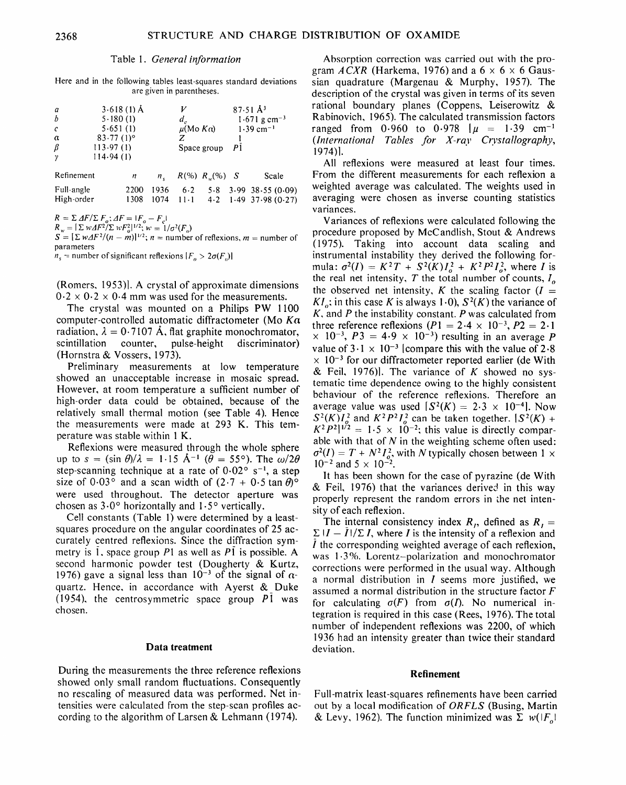#### Table I. *General information*

Here and in the following tables least-squares standard deviations are given in parentheses.

| a<br>b<br>$\mathcal{C}_{0}$<br>$\alpha$<br>β<br>$\gamma$ | $3.618(1)$ Å<br>5.180(1)<br>5.651(1)<br>$83.77(1)$ °<br>113.97(1)<br>114.94(1) |   |              | $d_{c}$<br>$\mu(Mo K\alpha)$ | Space group         | $87.51 \text{ Å}^3$<br>$1.671$ g cm <sup>-3</sup><br>$1.39$ cm <sup>-1</sup><br>P <sub>1</sub> |       |
|----------------------------------------------------------|--------------------------------------------------------------------------------|---|--------------|------------------------------|---------------------|------------------------------------------------------------------------------------------------|-------|
| Refinement                                               |                                                                                | n | $n_{\kappa}$ |                              | $R(\%) R_{w}(\%) S$ |                                                                                                | Scale |

| Full-angle |  |  | 2200 1936 6.2 5.8 3.99 38.55 (0.09)    |
|------------|--|--|----------------------------------------|
| High-order |  |  | $1308$ 1074 11.1 4.2 1.49 37.98 (0.27) |

 $R = \sum \Delta F / \sum F_o$ ;  $\Delta F = |F_o - F_c|$ 

 $R_w = |\sum w \Delta F^2 / \sum w F_o^2|^{1/2}; w = 1 / \sigma^2(F_o)$ 

 $S = [\Sigma w\Delta F^2/(n - m)]^{1/2}; n =$  number of reflexions, m = number of parameters

 $n_s$  = number of significant reflexions  $|F_{\alpha} > 2\sigma(F_{\alpha})|$ 

(Romers, 1953)]. A crystal of approximate dimensions  $0.2 \times 0.2 \times 0.4$  mm was used for the measurements.

The crystal was mounted on a Philips PW 1100 computer-controlled automatic diffractometer (Mo  $K\alpha$ ) radiation,  $\lambda = 0.7107$  Å, flat graphite monochromator, scintillation counter, pulse-height discriminator) (Hornstra & Vossers, 1973).

Preliminary measurements at low temperature showed an unacceptable increase in mosaic spread. However, at room temperature a sufficient number of high-order data could be obtained, because of the relatively small thermal motion (see Table 4). Hence the measurements were made at 293 K. This temperature was stable within 1 K.

Reflexions were measured through the whole sphere up to  $s = (\sin \theta)/\lambda = 1.15 \text{ Å}^{-1}$  ( $\theta = 55^{\circ}$ ). The  $\omega/2\theta$ step-scanning technique at a rate of  $0.02^{\circ}$  s<sup>-1</sup>, a step size of 0.03° and a scan width of  $(2.7 + 0.5 \tan \theta)$ ° were used throughout. The detector aperture was chosen as  $3.0^{\circ}$  horizontally and  $1.5^{\circ}$  vertically.

Cell constants (Table 1) were determined by a leastsquares procedure on the angular coordinates of 25 accurately centred reflexions. Since the diffraction symmetry is 1, space group PI as well as P1 is possible. A second harmonic powder test (Dougherty & Kurtz, 1976) gave a signal less than  $10^{-3}$  of the signal of  $\alpha$ quartz. Hence, in accordance with Ayerst & Duke (1954), the centrosymmetric space group  $P1$  was chosen.

#### **Data treatment**

During the measurements the three reference reflexions showed only small random fluctuations. Consequently no rescaling of measured data was performed. Net intensities were calculated from the step-scan profiles according to the algorithm of Larsen & Lehmann (1974).

Absorption correction was carried out with the program  $ACXR$  (Harkema, 1976) and a  $6 \times 6 \times 6$  Gaussian quadrature (Margenau & Murphy, 1957). The description of the crystal was given in terms of its seven rational boundary planes (Coppens, Leiserowitz & Rabinovich, 1965). The calculated transmission factors ranged from 0.960 to 0.978  $\mu$  = 1.39 cm<sup>-1</sup> *(International Tables for X-ray Crystallography,*  1974)1.

All reflexions were measured at least four times. From the different measurements for each reflexion a weighted average was calculated. The weights used in averaging were chosen as inverse counting statistics variances.

Variances of reflexions were calculated following the procedure proposed by McCandlish, Stout & Andrews (1975). Taking into account data scaling and instrumental instability they derived the following formula:  $\sigma^2(I) = K^2T + S^2(K)I_o^2 + K^2P^2I_o^2$ , where I is the real net intensity,  $T$  the total number of counts,  $I_0$ the observed net intensity, K the scaling factor  $(I =$  $KI$ ; in this case K is always 1.0),  $S^2(K)$  the variance of *K,* and P the instability constant. P was calculated from three reference reflexions  $(P1 = 2.4 \times 10^{-3}, P2 = 2.1$  $\times$  10<sup>-3</sup>, P3 = 4.9  $\times$  10<sup>-3</sup>) resulting in an average P value of  $3.1 \times 10^{-3}$  [compare this with the value of 2.8  $\times$  10<sup>-3</sup> for our diffractometer reported earlier (de With & Feil, 1976). The variance of K showed no systematic time dependence owing to the highly consistent behaviour of the reference reflexions. Therefore an average value was used  $[S^2(K) = 2.3 \times 10^{-4}]$ . Now  $S^2(K)I_o^2$  and  $K^2P^2I_o^2$  can be taken together.  $S^2(K)$  +  $K^2P^2|^{1/2} = 1.5 \times 10^{-2}$ ; this value is directly comparable with that of  $N$  in the weighting scheme often used:  $\sigma^2(I) = T + N^2 I_o^2$ , with N typically chosen between 1 x  $10^{-2}$  and  $5 \times 10^{-2}$ .

It has been shown for the case of pyrazine (de With  $&$  Feil, 1976) that the variances derived in this way properly represent the random errors in the net intensity of each reflexion.

The internal consistency index  $R_i$ , defined as  $R_i =$  $\sum |I - I| / \sum I$ , where *I* is the intensity of a reflexion and  $\overline{l}$  the corresponding weighted average of each reflexion, was !.3%. Lorentz-polarization and monochromator corrections were performed in the usual way. Although a normal distribution in  $I$  seems more justified, we assumed a normal distribution in the structure factor F for calculating  $\sigma(F)$  from  $\sigma(I)$ . No numerical integration is required in this case (Rees, 1976). The total number of independent reflexions was 2200, of which 1936 had an intensity greater than twice their standard deviation.

## **Refinement**

Full-matrix least-squares refinements have been carried out by a local modification of *ORFLS* (Busing, Martin & Levy, 1962). The function minimized was  $\sum w(|F_n|)$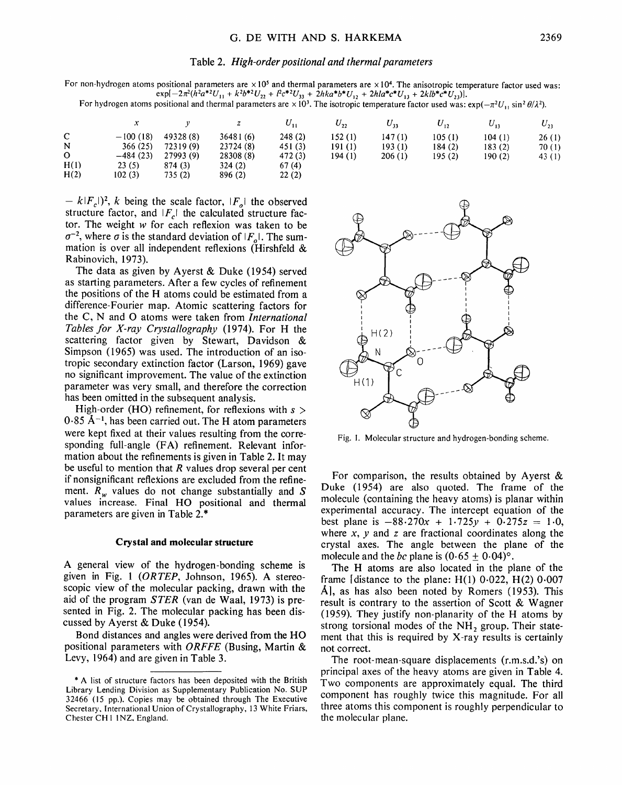## Table 2. *High-order positional and thermal parameters*

For non-hydrogen atoms positional parameters are  $\times 10^5$  and thermal parameters are  $\times 10^4$ . The anisotropic temperature factor used was:  $e^{2\pi i}$  exp $[-2\pi^2(h^2a^{*2}U_{11} + k^2b^{*2}U_{22} + l^2c^{*2}U_{33} + 2hka^{*}b^{*}U_{12} + 2hla^{*}c^{*}U_{13} + 2kb^{*}c^{*}U_{23})].$ 

For hydrogen atoms positional and thermal parameters are  $\times 10^3$ . The isotropic temperature factor used was:  $\exp(-\pi^2 U_y \sin^2 \theta/\lambda^2)$ .

|      |            |           | z         | $U_{11}$ | $U_{22}$ | $U_{33}$ | U.,     | $U_{13}$ | $U_{23}$ |
|------|------------|-----------|-----------|----------|----------|----------|---------|----------|----------|
| C    | $-100(18)$ | 49328(8)  | 36481(6)  | 248 (2)  | 152(1)   | 147(1)   | 105(1)  | 104(1)   | 26(1)    |
| N    | 366(25)    | 72319(9)  | 23724 (8) | 451 (3)  | 191(1)   | 193(1)   | 184(2)  | 183(2)   | 70(1)    |
| 0    | $-484(23)$ | 27993 (9) | 28308(8)  | 472(3)   | 194 (1)  | 206(1)   | 195 (2) | 190(2)   | 43 (1)   |
| H(1) | 23(5)      | 874 (3)   | 324(2)    | 67(4)    |          |          |         |          |          |
| H(2) | 102(3)     | 735(2)    | 896 (2)   | 22(2)    |          |          |         |          |          |

 $-k|F_c|$ <sup>2</sup>, k being the scale factor,  $|F_o|$  the observed structure factor, and  $|F_c|$  the calculated structure factor. The weight w for each reflexion was taken to be  $\sigma^{-2}$ , where  $\sigma$  is the standard deviation of *IF<sub>o</sub>l*. The summation is over all independent reflexions (Hirshfeld & Rabinovich, 1973).

The data as given by Ayerst & Duke (1954) served as starting parameters. After a few cycles of refinement the positions of the H atoms could be estimated from a difference-Fourier map. Atomic scattering factors for the C, N and O atoms were taken from *International Tables for X-ray Crystallography* (1974). For H the scattering factor given by Stewart, Davidson & Simpson (1965) was used. The introduction of an isotropic secondary extinction factor (Larson, 1969) gave no significant improvement. The value of the extinction parameter was very small, and therefore the correction has been omitted in the subsequent analysis.

High-order (HO) refinement, for reflexions with  $s >$  $0.85$  Å<sup>-1</sup>, has been carried out. The H atom parameters were kept fixed at their values resulting from the corresponding full-angle (FA) refinement. Relevant information about the refinements is given in Table 2. It may be useful to mention that  $R$  values drop several per cent if nonsignificant reflekions are excluded from the refinement.  $R_w$  values do not change substantially and S values increase. Final HO positional and thermal parameters are given in Table 2.\*

# **Crystal and molecular structure**

A general view of the hydrogen-bonding scheme is given in Fig. 1 *(ORTEP,* Johnson, 1965). A stereoscopic view of the molecular packing, drawn with the aid of the program *STER* (van de Waal, 1973) is presented in Fig. 2. The molecular packing has been discussed by Ayerst & Duke (1954).

Bond distances and angles were derived from the HO positional parameters with *ORFFE* (Busing, Martin & Levy, 1964) and are given in Table 3.



Fig. I. Molecular structure and hydrogen-bonding scheme.

For comparison, the results obtained by Ayerst & Duke (1954) are also quoted. The frame of the molecule (containing the heavy atoms) is planar within experimental accuracy. The intercept equation of the best plane is  $-88.270x + 1.725y + 0.275z = 1.0$ , where  $x$ ,  $y$  and  $z$  are fractional coordinates along the crystal axes. The angle between the plane of the molecule and the *bc* plane is  $(0.65 \pm 0.04)$ °.

The H atoms are also located in the plane of the frame [distance to the plane:  $H(1)$  0.022,  $H(2)$  0.007 A, as has also been noted by Romers  $(1953)$ . This result is contrary to the assertion of Scott & Wagner (1959). They justify non-planarity of the H atoms by strong torsional modes of the  $NH<sub>2</sub>$  group. Their statement that this is required by X-ray results is certainly not correct.

The root-mean-square displacements (r.m.s.d.'s) on principal axes of the heavy atoms are given in Table 4. Two components are approximately equal. The third component has roughly twice this magnitude. For all three atoms this component is roughly perpendicular to the molecular plane.

<sup>\*</sup> A list of structure factors has been deposited with the British Library Lending Division as Supplementary Publication No. SUP 32466 (15 pp.). Copies may be obtained through The Executive Secretary, International Union of Crystallography, 13 White Friars, Chester CH 1 INZ, England.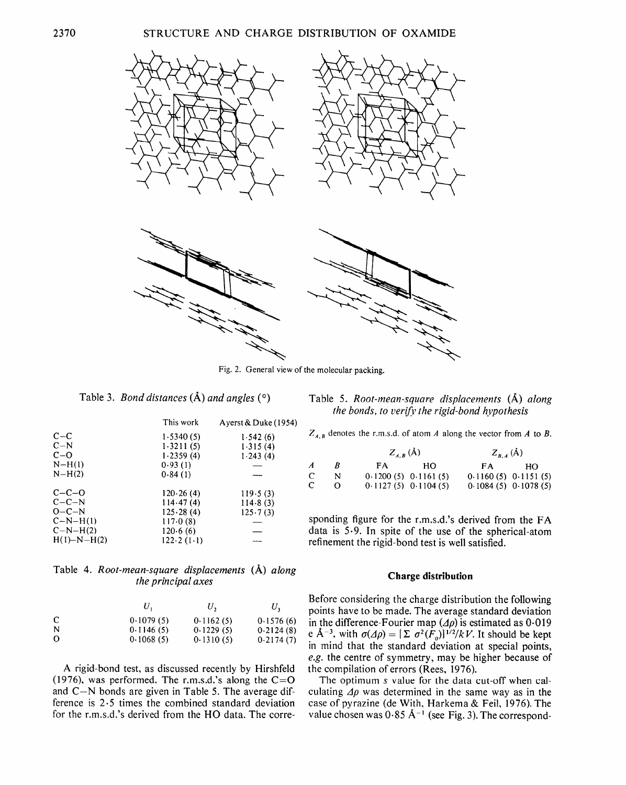

Fig. 2. General view of the molecular packing.

|  |  | Table 3. <i>Bond distances</i> (A) and angles ( $\circ$ ) |  |  |  |  |  |
|--|--|-----------------------------------------------------------|--|--|--|--|--|
|--|--|-----------------------------------------------------------|--|--|--|--|--|

|                   | This work    | Ayerst & Duke $(1954)$ |
|-------------------|--------------|------------------------|
| $C - C$           | 1.5340(5)    | 1.542(6)               |
| $C-N$             | 1.3211(5)    | 1.315(4)               |
| $C - O$           | 1.2359(4)    | 1.243(4)               |
| $N-H(1)$          | 0.93(1)      |                        |
| $N-H(2)$          | 0.84(1)      |                        |
| $C - C - O$       | 120.26(4)    | 119.5(3)               |
| $C - C - N$       | 114.47(4)    | 114.8(3)               |
| $O - C - N$       | 125.28(4)    | $125 \cdot 7(3)$       |
| $C-N-H(1)$        | 117.0(8)     |                        |
| $C-N-H(2)$        | 120.6(6)     |                        |
| $H(1) - N - H(2)$ | $122.2(1-1)$ |                        |

Table 4. *Root-mean-square displacements* (A) *along the principal axes* 

|          |           | U,        | $U_{\mathcal{P}}$ |
|----------|-----------|-----------|-------------------|
| C        | 0.1079(5) | 0.1162(5) | 0.1576(6)         |
| N        | 0.1146(5) | 0.1229(5) | 0.2124(8)         |
| $\Omega$ | 0.1068(5) | 0.1310(5) | 0.2174(7)         |

A rigid-bond test, as discussed recently by Hirshfeld (1976), was performed. The r.m.s.d.'s along the  $C=O$ and  $C-N$  bonds are given in Table 5. The average difference is 2.5 times the combined standard deviation for the r.m.s.d.'s derived from the HO data. The corre-

|  | Table 5. Root-mean-square displacements (A) along |  |  |  |
|--|---------------------------------------------------|--|--|--|
|  | the bonds, to verify the rigid-bond hypothesis    |  |  |  |

| $Z_{A,B}$ denotes the r.m.s.d. of atom A along the vector from A to B. |  |  |
|------------------------------------------------------------------------|--|--|
|------------------------------------------------------------------------|--|--|

|                  |          | $Z_{AB}$ (Å)            |     | $Z_{B,A}(\mathring{A})$ |    |  |
|------------------|----------|-------------------------|-----|-------------------------|----|--|
| $\boldsymbol{A}$ | R        | FA.                     | HO. | FA.                     | HO |  |
| C                | N        | $0.1200(5)$ $0.1161(5)$ |     | $0.1160(5)$ $0.1151(5)$ |    |  |
| C                | $\Omega$ | $0.1127(5)$ $0.1104(5)$ |     | $0.1084(5)$ $0.1078(5)$ |    |  |

sponding figure for the r.m.s.d.'s derived from the FA data is 5.9. In spite of the use of the spherical-atom refinement the rigid-bond test is well satisfied.

# **Charge distribution**

Before considering the charge distribution the following points have to be made. The average standard deviation in the difference-Fourier map *(Ap)* is estimated as 0.019 e  $A^{-3}$ , with  $\sigma(\Delta \rho) = [\Sigma \ \sigma^2(F_o)]^{1/2}/kV$ . It should be kept in mind that the standard deviation at special points, *e.g.* the centre of symmetry, may be higher because of the compilation of errors (Rees, 1976).

The optimum s value for the data cut-off when calculating  $\Delta \rho$  was determined in the same way as in the case of pyrazine (de With, Harkema & Feil, 1976). The value chosen was  $0.85 \text{ Å}^{-1}$  (see Fig. 3). The correspond-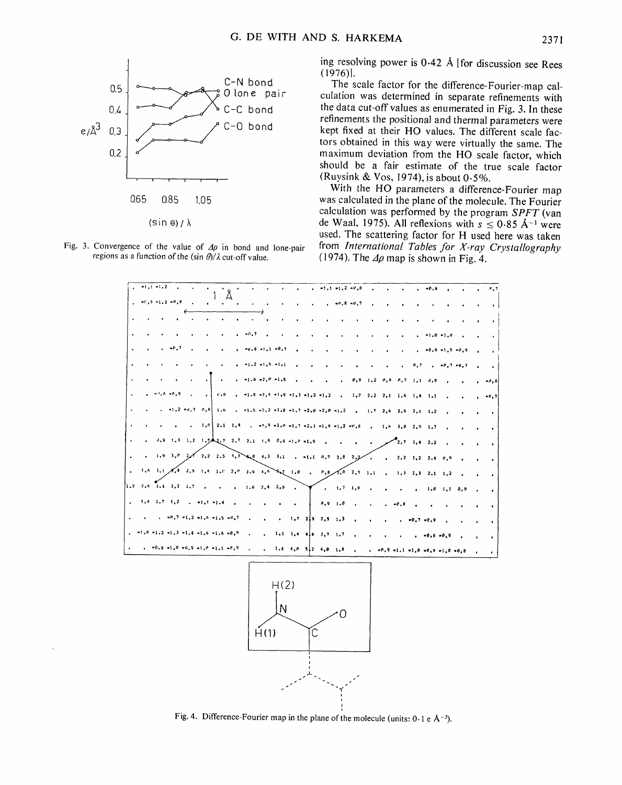



ing resolving power is 0.42 Å [for discussion see Rees  $(1976)$ .

The scale factor for the difference-Fourier-map calculation was determined in separate refinements with the data cut-off values as enumerated in Fig. 3. In these refinements the positional and thermal parameters were kept fixed at their HO values. The different scale factors obtained in this way were virtually the same. The maximum deviation from the HO scale factor, which should be a fair estimate of the true scale factor (Ruysink & Vos, 1974), is about 0.5%.

With the HO parameters a difference-Fourier map was calculated in the plane of the molecule. The Fourier calculation was performed by the program  $SPFT$  (van de Waal, 1975). All reflexions with  $s \le 0.85$  Å<sup>-1</sup> were used. The scattering factor for H used here was taken from International Tables for X-ray Crystallography (1974). The  $\Delta \rho$  map is shown in Fig. 4.



Fig. 4. Difference-Fourier map in the plane of the molecule (units:  $0.1 e \text{ Å}^{-3}$ ).